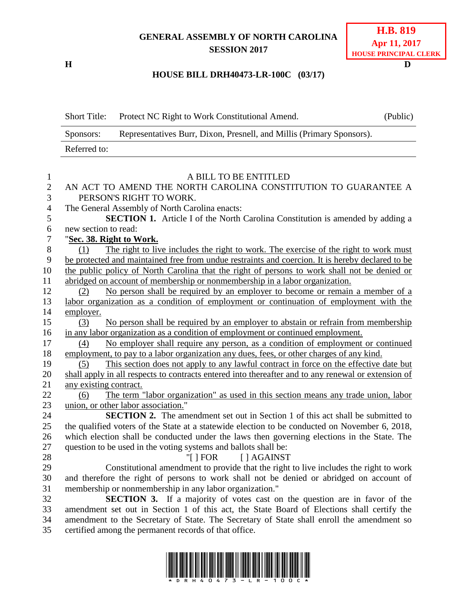## **GENERAL ASSEMBLY OF NORTH CAROLINA SESSION 2017**

**H D**

## **HOUSE BILL DRH40473-LR-100C (03/17)**

|                     | <b>Short Title:</b>      | Protect NC Right to Work Constitutional Amend.                                                                                                                         | (Public) |  |
|---------------------|--------------------------|------------------------------------------------------------------------------------------------------------------------------------------------------------------------|----------|--|
|                     | Sponsors:                |                                                                                                                                                                        |          |  |
|                     | Referred to:             |                                                                                                                                                                        |          |  |
|                     |                          |                                                                                                                                                                        |          |  |
| $\mathbf{1}$        |                          | A BILL TO BE ENTITLED                                                                                                                                                  |          |  |
| $\overline{2}$<br>3 |                          | AN ACT TO AMEND THE NORTH CAROLINA CONSTITUTION TO GUARANTEE A<br>PERSON'S RIGHT TO WORK.                                                                              |          |  |
| 4                   |                          | The General Assembly of North Carolina enacts:                                                                                                                         |          |  |
| 5                   |                          | <b>SECTION 1.</b> Article I of the North Carolina Constitution is amended by adding a                                                                                  |          |  |
| 6                   | new section to read:     |                                                                                                                                                                        |          |  |
| $\tau$              | "Sec. 38. Right to Work. |                                                                                                                                                                        |          |  |
| 8                   | (1)                      | The right to live includes the right to work. The exercise of the right to work must                                                                                   |          |  |
| 9                   |                          | be protected and maintained free from undue restraints and coercion. It is hereby declared to be                                                                       |          |  |
| 10                  |                          | the public policy of North Carolina that the right of persons to work shall not be denied or                                                                           |          |  |
| 11                  |                          | abridged on account of membership or nonmembership in a labor organization.                                                                                            |          |  |
| 12<br>13            | (2)                      | No person shall be required by an employer to become or remain a member of a<br>labor organization as a condition of employment or continuation of employment with the |          |  |
| 14                  | employer.                |                                                                                                                                                                        |          |  |
| 15                  | (3)                      | No person shall be required by an employer to abstain or refrain from membership                                                                                       |          |  |
| 16                  |                          | in any labor organization as a condition of employment or continued employment.                                                                                        |          |  |
| 17                  | (4)                      | No employer shall require any person, as a condition of employment or continued                                                                                        |          |  |
| 18                  |                          | employment, to pay to a labor organization any dues, fees, or other charges of any kind.                                                                               |          |  |
| 19                  | (5)                      | This section does not apply to any lawful contract in force on the effective date but                                                                                  |          |  |
| 20                  |                          | shall apply in all respects to contracts entered into thereafter and to any renewal or extension of                                                                    |          |  |
| 21                  | any existing contract.   |                                                                                                                                                                        |          |  |
| 22                  | (6)                      | The term "labor organization" as used in this section means any trade union, labor                                                                                     |          |  |
| 23                  |                          | union, or other labor association."                                                                                                                                    |          |  |
| 24                  |                          | <b>SECTION 2.</b> The amendment set out in Section 1 of this act shall be submitted to                                                                                 |          |  |
| 25                  |                          | the qualified voters of the State at a statewide election to be conducted on November 6, 2018,                                                                         |          |  |
| 26                  |                          | which election shall be conducted under the laws then governing elections in the State. The                                                                            |          |  |
| 27<br>28            |                          | question to be used in the voting systems and ballots shall be:<br>"[ $ $ FOR<br>[ ] AGAINST                                                                           |          |  |
| 29                  |                          | Constitutional amendment to provide that the right to live includes the right to work                                                                                  |          |  |
| 30                  |                          | and therefore the right of persons to work shall not be denied or abridged on account of                                                                               |          |  |
| 31                  |                          | membership or nonmembership in any labor organization."                                                                                                                |          |  |
| 32                  |                          | <b>SECTION 3.</b> If a majority of votes cast on the question are in favor of the                                                                                      |          |  |
| 33                  |                          | amendment set out in Section 1 of this act, the State Board of Elections shall certify the                                                                             |          |  |
| 34                  |                          | amendment to the Secretary of State. The Secretary of State shall enroll the amendment so                                                                              |          |  |
| 35                  |                          | certified among the permanent records of that office.                                                                                                                  |          |  |
|                     |                          |                                                                                                                                                                        |          |  |